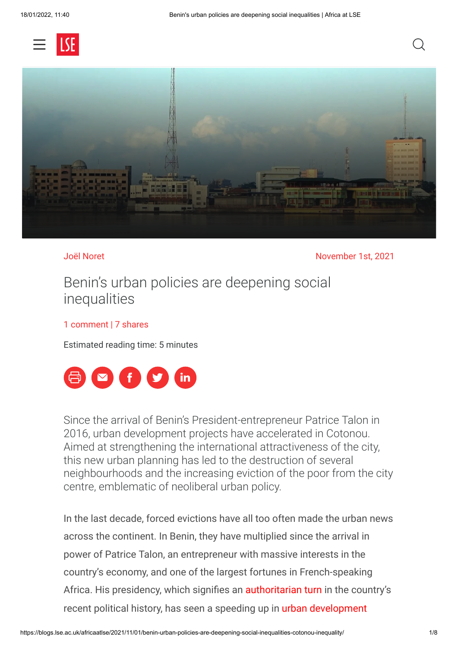



Joël Noret November 1st, 2021

## Benin's urban policies are deepening social inequalities

## [1 comment](#page-4-0) | 7 shares

Estimated reading time: 5 minutes



Since the arrival of Benin's President-entrepreneur Patrice Talon in 2016, urban development projects have accelerated in Cotonou. Aimed at strengthening the international attractiveness of the city, this new urban planning has led to the destruction of several neighbourhoods and the increasing eviction of the poor from the city centre, emblematic of neoliberal urban policy.

In the last decade, forced evictions have all too often made the urban news across the continent. In Benin, they have multiplied since the arrival in power of Patrice Talon, an entrepreneur with massive interests in the country's economy, and one of the largest fortunes in French-speaking Africa. His presidency, which signifies an [authoritarian turn](https://www.econstor.eu/handle/10419/205259) in the country's [recent political history, has seen a speeding up in urban development](https://www.jeuneafrique.com/mag/1062011/economie/benin-cotonou-petite-metropole-deviendra-grande/)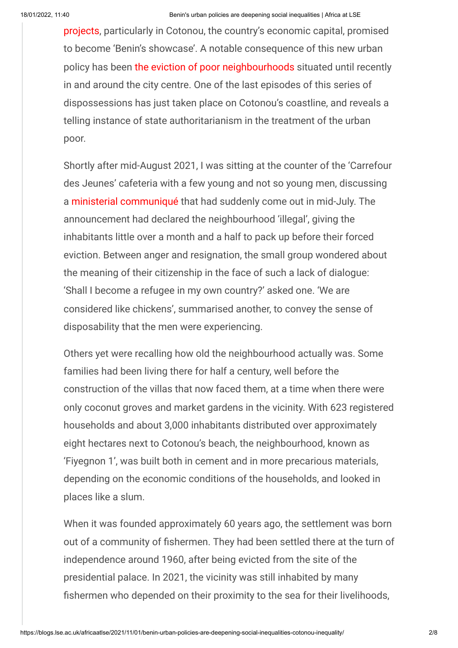[projects, particularly in Cotonou, the country's economic capital, prom](https://www.jeuneafrique.com/mag/1062011/economie/benin-cotonou-petite-metropole-deviendra-grande/)ised to become 'Benin's showcase'. A notable consequence of this new urban policy has been [the eviction of poor neighbourhoods](https://www.youtube.com/watch?v=uVVCHxyWF-w) situated until recently in and around the city centre. One of the last episodes of this series of dispossessions has just taken place on Cotonou's coastline, and reveals a telling instance of state authoritarianism in the treatment of the urban poor.

Shortly after mid-August 2021, I was sitting at the counter of the 'Carrefour des Jeunes' cafeteria with a few young and not so young men, discussing a [ministerial communiqué](http://www.cadredevie.bj/informations/communiques-avis/item/301-communique-conjoint-mcvdd-mdgl-relatif-a-la-liberation-du-domaine-maritime-de-fiyegnon-1) that had suddenly come out in mid-July. The announcement had declared the neighbourhood 'illegal', giving the inhabitants little over a month and a half to pack up before their forced eviction. Between anger and resignation, the small group wondered about the meaning of their citizenship in the face of such a lack of dialogue: 'Shall I become a refugee in my own country?' asked one. 'We are considered like chickens', summarised another, to convey the sense of disposability that the men were experiencing.

Others yet were recalling how old the neighbourhood actually was. Some families had been living there for half a century, well before the construction of the villas that now faced them, at a time when there were only coconut groves and market gardens in the vicinity. With 623 registered households and about 3,000 inhabitants distributed over approximately eight hectares next to Cotonou's beach, the neighbourhood, known as 'Fiyegnon 1', was built both in cement and in more precarious materials, depending on the economic conditions of the households, and looked in places like a slum.

When it was founded approximately 60 years ago, the settlement was born out of a community of fishermen. They had been settled there at the turn of independence around 1960, after being evicted from the site of the presidential palace. In 2021, the vicinity was still inhabited by many fishermen who depended on their proximity to the sea for their livelihoods,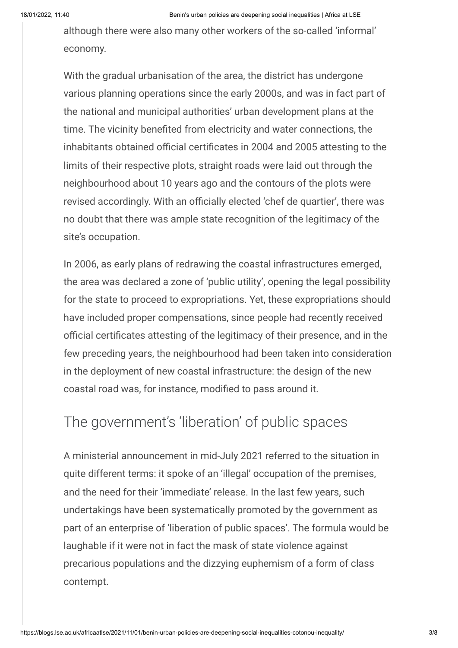although there were also many other workers of the so-called 'informal' economy.

With the gradual urbanisation of the area, the district has undergone various planning operations since the early 2000s, and was in fact part of the national and municipal authorities' urban development plans at the time. The vicinity benefited from electricity and water connections, the inhabitants obtained official certificates in 2004 and 2005 attesting to the limits of their respective plots, straight roads were laid out through the neighbourhood about 10 years ago and the contours of the plots were revised accordingly. With an officially elected 'chef de quartier', there was no doubt that there was ample state recognition of the legitimacy of the site's occupation.

In 2006, as early plans of redrawing the coastal infrastructures emerged, the area was declared a zone of 'public utility', opening the legal possibility for the state to proceed to expropriations. Yet, these expropriations should have included proper compensations, since people had recently received official certificates attesting of the legitimacy of their presence, and in the few preceding years, the neighbourhood had been taken into consideration in the deployment of new coastal infrastructure: the design of the new coastal road was, for instance, modified to pass around it.

## The government's 'liberation' of public spaces

A ministerial announcement in mid-July 2021 referred to the situation in quite different terms: it spoke of an 'illegal' occupation of the premises, and the need for their 'immediate' release. In the last few years, such undertakings have been systematically promoted by the government as part of an enterprise of 'liberation of public spaces'. The formula would be laughable if it were not in fact the mask of state violence against precarious populations and the dizzying euphemism of a form of class contempt.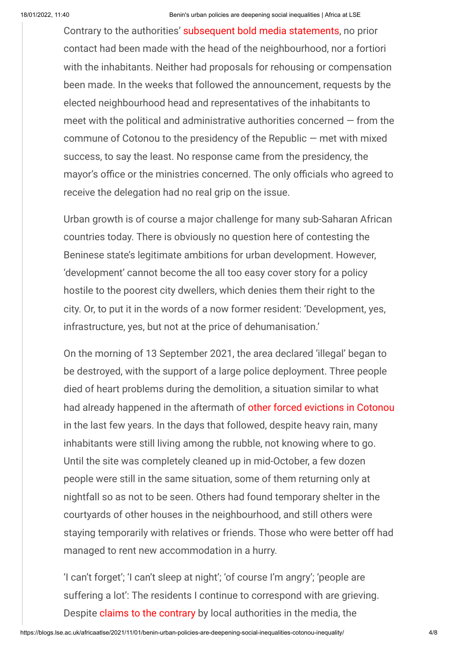Contrary to the authorities' [subsequent bold media statements,](https://lanation.bj/liberation-de-domaine-public-a-cotonou-fiyegnon-1-sefface-pour-la-modernite/) no prior contact had been made with the head of the neighbourhood, nor a fortiori with the inhabitants. Neither had proposals for rehousing or compensation been made. In the weeks that followed the announcement, requests by the elected neighbourhood head and representatives of the inhabitants to meet with the political and administrative authorities concerned  $-$  from the commune of Cotonou to the presidency of the Republic — met with mixed success, to say the least. No response came from the presidency, the mayor's office or the ministries concerned. The only officials who agreed to receive the delegation had no real grip on the issue.

Urban growth is of course a major challenge for many sub-Saharan African countries today. There is obviously no question here of contesting the Beninese state's legitimate ambitions for urban development. However, 'development' cannot become the all too easy cover story for a policy hostile to the poorest city dwellers, which denies them their right to the city. Or, to put it in the words of a now former resident: 'Development, yes, infrastructure, yes, but not at the price of dehumanisation.'

On the morning of 13 September 2021, the area declared 'illegal' began to be destroyed, with the support of a large police deployment. Three people died of heart problems during the demolition, a situation similar to what had already happened in the aftermath of [other forced evictions in Cotonou](https://www.academia.edu/37197597/GOUVERNEMENT_DES_ESPACES_PUBLICS_EN_BORDURE_D_EAU_AU_BENIN_UNE_ANALYSE_ORIENTEE_DANS_LA_PERSPECTIVE_DE_L_INEGALITE_ENVIRONNEMENTALE_A_COTONOU_pdf?auto=download) in the last few years. In the days that followed, despite heavy rain, many inhabitants were still living among the rubble, not knowing where to go. Until the site was completely cleaned up in mid-October, a few dozen people were still in the same situation, some of them returning only at nightfall so as not to be seen. Others had found temporary shelter in the courtyards of other houses in the neighbourhood, and still others were staying temporarily with relatives or friends. Those who were better off had managed to rent new accommodation in a hurry.

'I can't forget'; 'I can't sleep at night'; 'of course I'm angry'; 'people are suffering a lot': The residents I continue to correspond with are grieving. Despite [claims to the contrary](https://lanouvelletribune.info/2021/09/benin-une-solution-de-relogement-a-ete-proposee-aux-deguerpis-de-fiyegnon-1-orounla/) by local authorities in the media, the